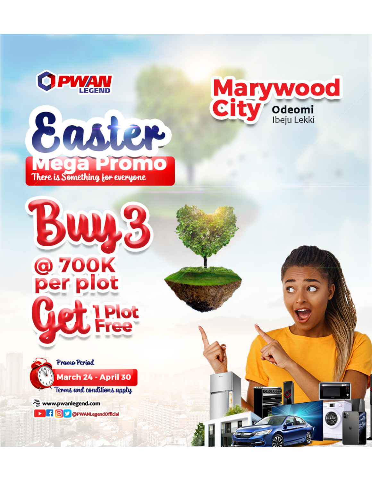

50

@ 700K<br>per plot



**LPlot** 





www.pwanlegend.com

**D G O O @PWANLegendOfficial**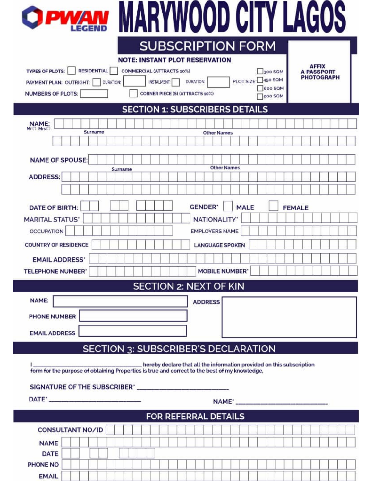| <b>PWAN</b>                                                            |                                       | <b>IARYWOOD CITY LAGOS</b>                                            |                                   |  |
|------------------------------------------------------------------------|---------------------------------------|-----------------------------------------------------------------------|-----------------------------------|--|
|                                                                        | <b>NOTE: INSTANT PLOT RESERVATION</b> | <b>SUBSCRIPTION FORM</b>                                              |                                   |  |
| <b>TYPES OF PLOTS:</b><br><b>RESIDENTIAL</b>                           | COMMERCIAL (ATTRACTS 10%)             | 300 SQM                                                               | <b>AFFIX</b><br><b>A PASSPORT</b> |  |
| PAYMENT PLAN: OUTRIGHT:<br>DURATION:                                   | <b>INSTALMENT</b>                     | PLOT SIZE: 450 SQM<br><b>DURATION:</b>                                | <b>PHOTOGRAPH</b>                 |  |
| <b>NUMBERS OF PLOTS:</b>                                               | CORNER PIECE (S) (ATTRACTS 10%)       | 600 SQM<br>900 SQM                                                    |                                   |  |
| <b>SECTION 1: SUBSCRIBERS DETAILS</b>                                  |                                       |                                                                       |                                   |  |
| NAME:<br>Surname                                                       |                                       | <b>Other Names</b>                                                    |                                   |  |
|                                                                        |                                       |                                                                       |                                   |  |
| <b>NAME OF SPOUSE:</b>                                                 |                                       | <b>Other Names</b>                                                    |                                   |  |
| <b>ADDRESS:</b>                                                        | Surname                               |                                                                       |                                   |  |
|                                                                        |                                       |                                                                       |                                   |  |
| <b>GENDER</b><br><b>DATE OF BIRTH:</b><br><b>MALE</b><br><b>FEMALE</b> |                                       |                                                                       |                                   |  |
| <b>MARITAL STATUS'</b>                                                 |                                       | <b>NATIONALITY</b>                                                    |                                   |  |
| <b>OCCUPATION</b>                                                      |                                       | <b>EMPLOYERS NAME</b>                                                 |                                   |  |
| <b>COUNTRY OF RESIDENCE</b>                                            |                                       | <b>LANGUAGE SPOKEN</b>                                                |                                   |  |
| <b>EMAIL ADDRESS'</b>                                                  |                                       |                                                                       |                                   |  |
| <b>TELEPHONE NUMBER'</b>                                               |                                       | <b>MOBILE NUMBER'</b>                                                 |                                   |  |
| <b>SECTION 2: NEXT OF KIN</b>                                          |                                       |                                                                       |                                   |  |
| <b>NAME:</b>                                                           |                                       |                                                                       |                                   |  |
| <b>ADDRESS</b>                                                         |                                       |                                                                       |                                   |  |
| PHONE NUMBER                                                           |                                       |                                                                       |                                   |  |
| <b>EMAIL ADDRESS</b>                                                   |                                       |                                                                       |                                   |  |
|                                                                        |                                       | <b>SECTION 3: SUBSCRIBER'S DECLARATION</b>                            |                                   |  |
|                                                                        |                                       | hereby declare that all the information provided on this subscription |                                   |  |
|                                                                        |                                       |                                                                       |                                   |  |
| SIGNATURE OF THE SUBSCRIBER' ______________________________            |                                       |                                                                       |                                   |  |
|                                                                        |                                       |                                                                       |                                   |  |
| <b>FOR REFERRAL DETAILS</b>                                            |                                       |                                                                       |                                   |  |
| CONSULTANT NO/ID                                                       |                                       |                                                                       |                                   |  |
| <b>NAME</b>                                                            |                                       |                                                                       |                                   |  |
| <b>DATE</b>                                                            |                                       |                                                                       |                                   |  |
| PHONE NO                                                               |                                       |                                                                       |                                   |  |
| <b>EMAIL</b>                                                           |                                       |                                                                       |                                   |  |